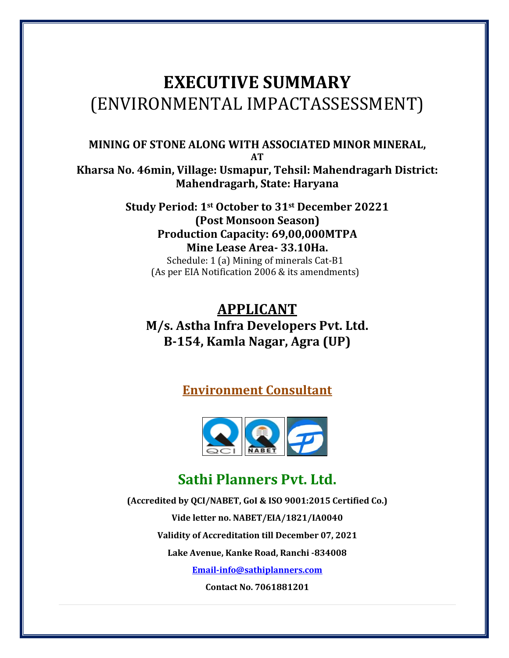# **EXECUTIVE SUMMARY** (ENVIRONMENTAL IMPACTASSESSMENT)

**MINING OF STONE ALONG WITH ASSOCIATED MINOR MINERAL, AT Kharsa No. 46min, Village: Usmapur, Tehsil: Mahendragarh District:** 

**Mahendragarh, State: Haryana Study Period: 1st October to 31st December <sup>20221</sup> (Post Monsoon Season) Production Capacity: 69,00,000MTPA Mine Lease Area- 33.10Ha.**

Schedule: 1 (a) Mining of minerals Cat-B1 (As per EIA Notification 2006 & its amendments)

# **APPLICANT M/s. Astha Infra Developers Pvt. Ltd. B-154, Kamla Nagar, Agra (UP)**

**Environment Consultant**



# **Sathi Planners Pvt. Ltd.**

**(Accredited by QCI/NABET, GoI & ISO 9001:2015 Certified Co.) Vide letter no. NABET/EIA/1821/IA0040 Validity of Accreditation till December 07, 2021 Lake Avenue, Kanke Road, Ranchi -834008 [Email-info@sathiplanners.com](mailto:Email-info@sathiplanners.com)**

**Contact No. 7061881201**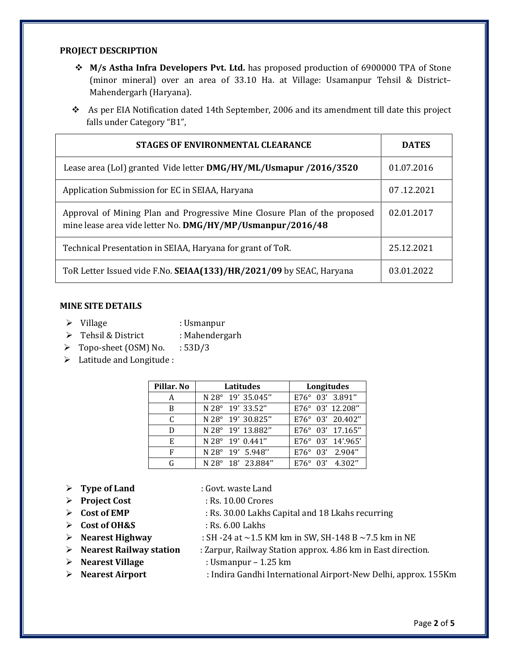#### **PROJECT DESCRIPTION**

- **M/s Astha Infra Developers Pvt. Ltd.** has proposed production of 6900000 TPA of Stone (minor mineral) over an area of 33.10 Ha. at Village: Usamanpur Tehsil & District– Mahendergarh (Haryana).
- As per EIA Notification dated 14th September, 2006 and its amendment till date this project falls under Category "B1",

| STAGES OF ENVIRONMENTAL CLEARANCE                                                                                                       | <b>DATES</b> |
|-----------------------------------------------------------------------------------------------------------------------------------------|--------------|
| Lease area (LoI) granted Vide letter DMG/HY/ML/Usmapur /2016/3520                                                                       | 01.07.2016   |
| Application Submission for EC in SEIAA, Haryana                                                                                         | 07.12.2021   |
| Approval of Mining Plan and Progressive Mine Closure Plan of the proposed<br>mine lease area vide letter No. DMG/HY/MP/Usmanpur/2016/48 | 02.01.2017   |
| Technical Presentation in SEIAA, Haryana for grant of ToR.                                                                              | 25.12.2021   |
| ToR Letter Issued vide F.No. SEIAA(133)/HR/2021/09 by SEAC, Haryana                                                                     | 03.01.2022   |

#### **MINE SITE DETAILS**

- 
- → Village : Usmanpur<br>→ Tehsil & District : Mahendergarh  $\triangleright$  Tehsil & District
- $\triangleright$  Topo-sheet (OSM) No. : 53D/3
- > Latitude and Longitude :

| Pillar. No | Latitudes         | Longitudes                 |
|------------|-------------------|----------------------------|
| A          | N 28° 19' 35.045" | E76° 03' 3.891"            |
| B          | N 28° 19' 33.52"  | E76° 03' 12.208"           |
| C          | N 28° 19' 30.825" | E76° 03' 20.402"           |
| D          | N 28° 19' 13.882" | E76° 03' 17.165"           |
| Е          | N 28° 19' 0.441"  | $E76^{\circ}$ 03' 14'.965' |
| F          | N 28° 19' 5.948"  | E76° 03' 2.904"            |
| G          | N 28° 18' 23.884" | E76° 03' 4.302"            |

- **Type of Land** : Govt. waste Land
- **Project Cost** : Rs. 10.00 Crores
- 
- $\triangleright$  Cost of OH&S
- 
- **Nearest Highway** : SH -24 at ~1.5 KM km in SW, SH-148 B ~7.5 km in NE : Zarpur, Railway Station approx. 4.86 km in East direction.

**Cost of EMP** : Rs. 30.00 Lakhs Capital and 18 Lkahs recurring

- 
- **Nearest Village** : Usmanpur 1.25 km
- **Nearest Airport** : Indira Gandhi International Airport-New Delhi, approx. 155Km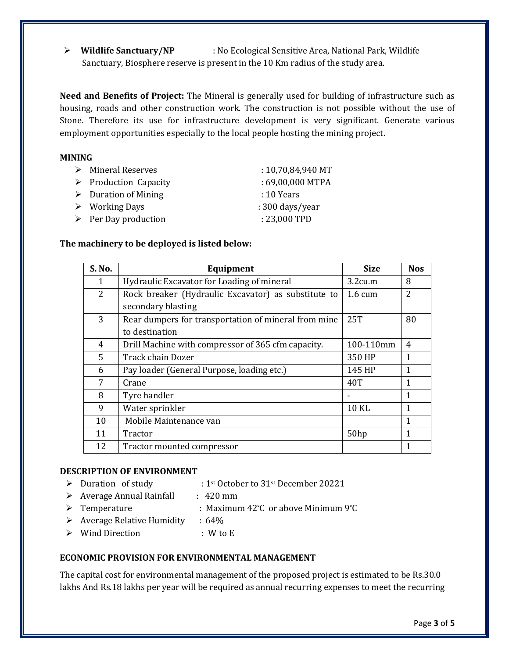**Wildlife Sanctuary/NP** : No Ecological Sensitive Area, National Park, Wildlife Sanctuary, Biosphere reserve is present in the 10 Km radius of the study area.

**Need and Benefits of Project:** The Mineral is generally used for building of infrastructure such as housing, roads and other construction work. The construction is not possible without the use of Stone. Therefore its use for infrastructure development is very significant. Generate various employment opportunities especially to the local people hosting the mining project.

#### **MINING**

| $\triangleright$ Mineral Reserves    | $: 10,70,84,940 \text{ MT}$ |
|--------------------------------------|-----------------------------|
| $\triangleright$ Production Capacity | : 69,00,000 MTPA            |
| $\triangleright$ Duration of Mining  | $: 10$ Years                |
| $\triangleright$ Working Days        | $: 300 \text{ days/year}$   |
| $\triangleright$ Per Day production  | : 23,000 TPD                |

#### **The machinery to be deployed is listed below:**

| S. No. | Equipment                                            | <b>Size</b>       | <b>Nos</b>     |
|--------|------------------------------------------------------|-------------------|----------------|
| 1      | Hydraulic Excavator for Loading of mineral           | 3.2cu.m           | 8              |
| 2      | Rock breaker (Hydraulic Excavator) as substitute to  | $1.6 \text{ cum}$ | $\overline{2}$ |
|        | secondary blasting                                   |                   |                |
| 3      | Rear dumpers for transportation of mineral from mine | 25T               | 80             |
|        | to destination                                       |                   |                |
| 4      | Drill Machine with compressor of 365 cfm capacity.   | 100-110mm         | 4              |
| 5      | Track chain Dozer                                    | 350 HP            | $\mathbf{1}$   |
| 6      | Pay loader (General Purpose, loading etc.)           | 145 HP            | $\mathbf{1}$   |
| 7      | Crane                                                | 40T               | 1              |
| 8      | Tyre handler                                         |                   | 1              |
| 9      | Water sprinkler                                      | 10 KL             | 1              |
| 10     | Mobile Maintenance van                               |                   | 1              |
| 11     | Tractor                                              | 50hp              | 1              |
| 12     | Tractor mounted compressor                           |                   | 1              |

### **DESCRIPTION OF ENVIRONMENT**

- Duration of study : 1st October to 31st December 20221
- $\triangleright$  Average Annual Rainfall : 420 mm
- Temperature : Maximum 42**°**C or above Minimum 9**°**C
- $\triangleright$  Average Relative Humidity : 64%
- Wind Direction : W to E

### **ECONOMIC PROVISION FOR ENVIRONMENTAL MANAGEMENT**

The capital cost for environmental management of the proposed project is estimated to be Rs.30.0 lakhs And Rs.18 lakhs per year will be required as annual recurring expenses to meet the recurring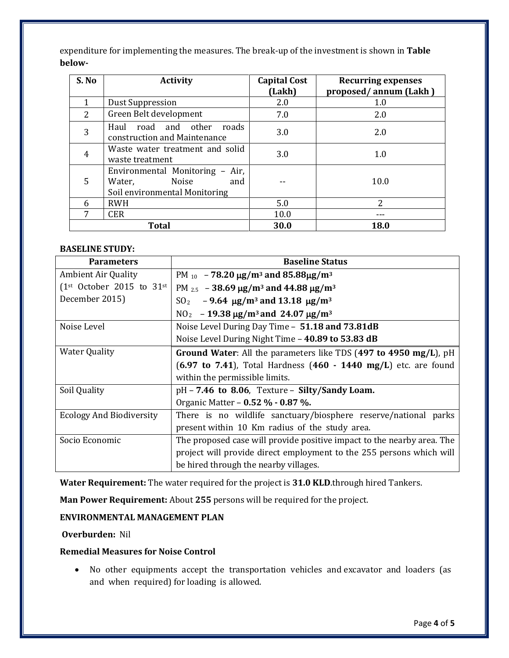expenditure for implementing the measures. The break-up of the investment is shown in **Table below-**

| S. No          | <b>Activity</b>                                                                            | <b>Capital Cost</b><br>(Lakh) | <b>Recurring expenses</b><br>proposed/annum (Lakh) |
|----------------|--------------------------------------------------------------------------------------------|-------------------------------|----------------------------------------------------|
|                | <b>Dust Suppression</b>                                                                    | 2.0                           | 1.0                                                |
| $\overline{2}$ | Green Belt development                                                                     | 7.0                           | 2.0                                                |
| 3              | Haul road and other<br>roads<br>construction and Maintenance                               | 3.0                           | 2.0                                                |
| 4              | Waste water treatment and solid<br>waste treatment                                         | 3.0                           | 1.0                                                |
| 5              | Environmental Monitoring - Air,<br>Water,<br>Noise<br>and<br>Soil environmental Monitoring |                               | 10.0                                               |
| 6              | <b>RWH</b>                                                                                 | 5.0                           | 2                                                  |
| 7              | <b>CER</b>                                                                                 | 10.0                          |                                                    |
|                | <b>Total</b>                                                                               | 30.0                          | 18.0                                               |

#### **BASELINE STUDY:**

| <b>Parameters</b>                      | <b>Baseline Status</b>                                                                         |  |  |
|----------------------------------------|------------------------------------------------------------------------------------------------|--|--|
| <b>Ambient Air Quality</b>             | PM $_{10}$ - 78.20 $\mu$ g/m <sup>3</sup> and 85.88 $\mu$ g/m <sup>3</sup>                     |  |  |
| $1st$ October 2015 to 31 <sup>st</sup> | PM $_{2.5}$ - 38.69 $\mu$ g/m <sup>3</sup> and 44.88 $\mu$ g/m <sup>3</sup>                    |  |  |
| December 2015)                         | SO <sub>2</sub> - 9.64 $\mu$ g/m <sup>3</sup> and 13.18 $\mu$ g/m <sup>3</sup>                 |  |  |
|                                        | $NO2 - 19.38 \mu g/m3$ and 24.07 $\mu g/m3$                                                    |  |  |
| Noise Level                            | Noise Level During Day Time - 51.18 and 73.81dB                                                |  |  |
|                                        | Noise Level During Night Time - 40.89 to 53.83 dB                                              |  |  |
| <b>Water Quality</b>                   | Ground Water: All the parameters like TDS (497 to 4950 mg/L), pH                               |  |  |
|                                        | $(6.97 \text{ to } 7.41)$ , Total Hardness $(460 \text{ - } 1440 \text{ mg/L})$ etc. are found |  |  |
|                                        | within the permissible limits.                                                                 |  |  |
| Soil Quality                           | $pH - 7.46$ to 8.06, Texture - Silty/Sandy Loam.                                               |  |  |
|                                        | Organic Matter – 0.52 % - 0.87 %.                                                              |  |  |
| <b>Ecology And Biodiversity</b>        | There is no wildlife sanctuary/biosphere reserve/national parks                                |  |  |
|                                        | present within 10 Km radius of the study area.                                                 |  |  |
| Socio Economic                         | The proposed case will provide positive impact to the nearby area. The                         |  |  |
|                                        | project will provide direct employment to the 255 persons which will                           |  |  |
|                                        | be hired through the nearby villages.                                                          |  |  |

**Water Requirement:** The water required for the project is **31.0 KLD**.through hired Tankers.

**Man Power Requirement:** About **255** persons will be required for the project.

## **ENVIRONMENTAL MANAGEMENT PLAN**

### **Overburden:** Nil

#### **Remedial Measures for Noise Control**

• No other equipments accept the transportation vehicles and excavator and loaders (as and when required) for loading is allowed.